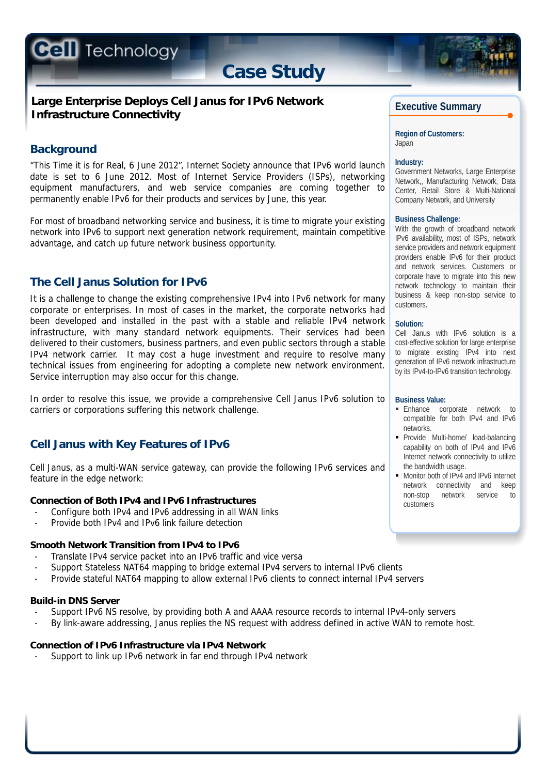**Cell** Technology

# **Case Study**

# **Large Enterprise Deploys Cell Janus for IPv6 Network Infrastructure Connectivity**

# **Background**

"This Time it is for Real, 6 June 2012", Internet Society announce that IPv6 world launch date is set to 6 June 2012. Most of Internet Service Providers (ISPs), networking equipment manufacturers, and web service companies are coming together to permanently enable IPv6 for their products and services by June, this year.

For most of broadband networking service and business, it is time to migrate your existing network into IPv6 to support next generation network requirement, maintain competitive advantage, and catch up future network business opportunity.

# **The Cell Janus Solution for IPv6**

It is a challenge to change the existing comprehensive IPv4 into IPv6 network for many corporate or enterprises. In most of cases in the market, the corporate networks had been developed and installed in the past with a stable and reliable IPv4 network infrastructure, with many standard network equipments. Their services had been delivered to their customers, business partners, and even public sectors through a stable IPv4 network carrier. It may cost a huge investment and require to resolve many technical issues from engineering for adopting a complete new network environment. Service interruption may also occur for this change.

In order to resolve this issue, we provide a comprehensive Cell Janus IPv6 solution to carriers or corporations suffering this network challenge.

# **Cell Janus with Key Features of IPv6**

Cell Janus, as a multi-WAN service gateway, can provide the following IPv6 services and feature in the edge network:

# **Connection of Both IPv4 and IPv6 Infrastructures**

- Configure both IPv4 and IPv6 addressing in all WAN links
- Provide both IPv4 and IPv6 link failure detection

# **Smooth Network Transition from IPv4 to IPv6**

- Translate IPv4 service packet into an IPv6 traffic and vice versa
- Support Stateless NAT64 mapping to bridge external IPv4 servers to internal IPv6 clients
- Provide stateful NAT64 mapping to allow external IPv6 clients to connect internal IPv4 servers

## **Build-in DNS Server**

- Support IPv6 NS resolve, by providing both A and AAAA resource records to internal IPv4-only servers
- By link-aware addressing, Janus replies the NS request with address defined in active WAN to remote host.

## **Connection of IPv6 Infrastructure via IPv4 Network**

- Support to link up IPv6 network in far end through IPv4 network

# **Executive Summary**

**Region of Customers:**  Japan

#### **Industry:**

Government Networks, Large Enterprise Network,, Manufacturing Network, Data Center, Retail Store & Multi-National Company Network, and University

#### **Business Challenge:**

With the growth of broadband network IPv6 availability, most of ISPs, network service providers and network equipment providers enable IPv6 for their product and network services. Customers or corporate have to migrate into this new network technology to maintain their business & keep non-stop service to customers.

#### **Solution:**

Cell Janus with IPv6 solution is a cost-effective solution for large enterprise to migrate existing IPv4 into next generation of IPv6 network infrastructure by its IPv4-to-IPv6 transition technology.

#### **Business Value:**

- **Enhance** corporate network to compatible for both IPv4 and IPv6 networks.
- **Provide Multi-home/ load-balancing** capability on both of IPv4 and IPv6 Internet network connectivity to utilize the bandwidth usage.
- **Monitor both of IPv4 and IPv6 Internet** network connectivity and keep non-stop network service to customers